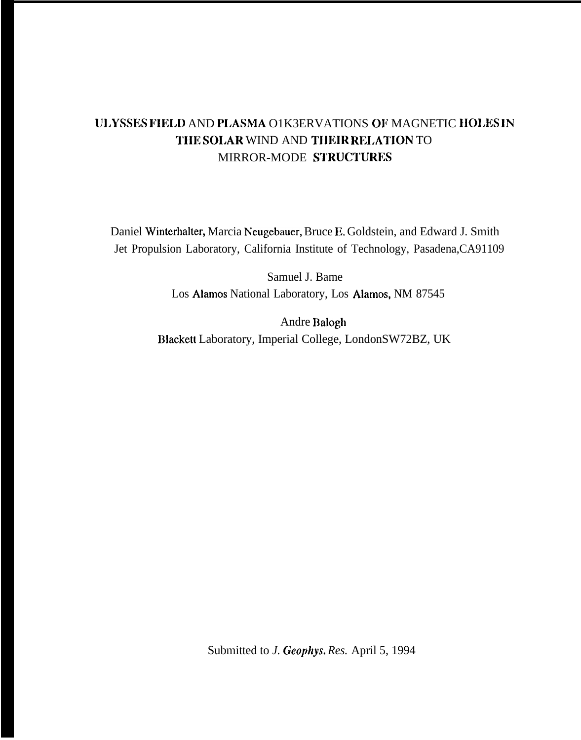# ULYSSES FIELD AND PLASMA O1K3ERVATIONS OF MAGNETIC HOLES IN '1'IIE SOLAR WIND AND TIIEIR REI.ATION TO MIRROR-MODE STRUCTURES

Daniel Winterhalter, Marcia Neugebauer, Bruce E. Goldstein, and Edward J. Smith Jet Propulsion Laboratory, California Institute of Technology, Pasadena,CA91109

> Samuel J. Bame Los Alarnos National Laboratory, Los Alamos, NM 87545

Andre Balogh Blackett Laboratory, Imperial College, LondonSW72BZ, UK

Submitted to *J. Gcophys. Res.* April 5, 1994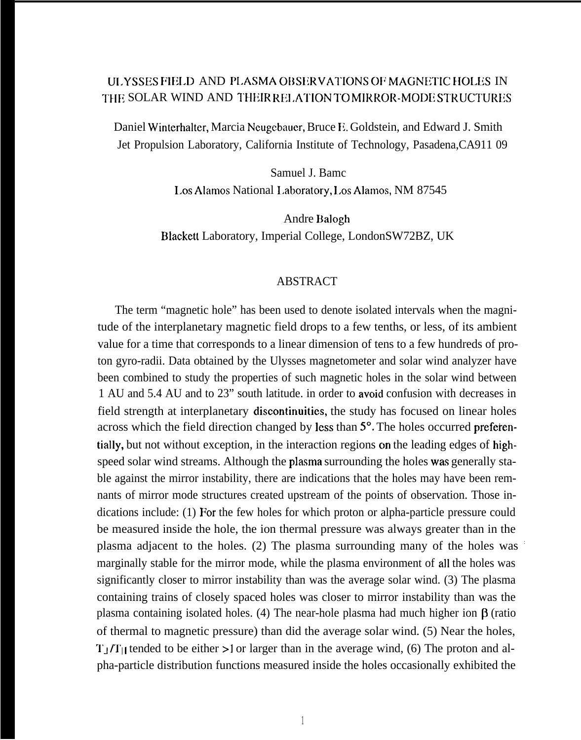# ULYSSES FIELD AND PLASMA OBSERVATIONS OF MAGNETIC HOLES IN THE SOLAR WIND AND THEIR RELATION TO MIRROR-MODE STRUCTURES

Daniel Winterhalter, Marcia Neugebauer, Bruce E. Goldstein, and Edward J. Smith Jet Propulsion Laboratory, California Institute of Technology, Pasadena,CA911 09

> Samuel J. Bamc I.os Alamos National 1.aboratory, I,os Alamos, NM 87545

Andre Balogh Blackett Laboratory, Imperial College, LondonSW72BZ, UK

## ABSTRACT

The term "magnetic hole" has been used to denote isolated intervals when the magnitude of the interplanetary magnetic field drops to a few tenths, or less, of its ambient value for a time that corresponds to a linear dimension of tens to a few hundreds of proton gyro-radii. Data obtained by the Ulysses magnetometer and solar wind analyzer have been combined to study the properties of such magnetic holes in the solar wind between 1 AU and 5.4 AU and to 23" south latitude. in order to avoid confusion with decreases in field strength at interplanetary discontinuities, the study has focused on linear holes across which the field direction changed by less than 5°. The holes occurred preferentially, but not without exception, in the interaction regions on the leading edges of highspeed solar wind streams. Although the plasma surrounding the holes was generally stable against the mirror instability, there are indications that the holes may have been remnants of mirror mode structures created upstream of the points of observation. Those indications include: (1) For the few holes for which proton or alpha-particle pressure could be measured inside the hole, the ion thermal pressure was always greater than in the plasma adjacent to the holes. (2) The plasma surrounding many of the holes was : marginally stable for the mirror mode, while the plasma environment of all the holes was significantly closer to mirror instability than was the average solar wind. (3) The plasma containing trains of closely spaced holes was closer to mirror instability than was the plasma containing isolated holes. (4) The near-hole plasma had much higher ion  $\beta$  (ratio of thermal to magnetic pressure) than did the average solar wind. (5) Near the holes,  $T_1/T_{11}$  tended to be either >1 or larger than in the average wind, (6) The proton and alpha-particle distribution functions measured inside the holes occasionally exhibited the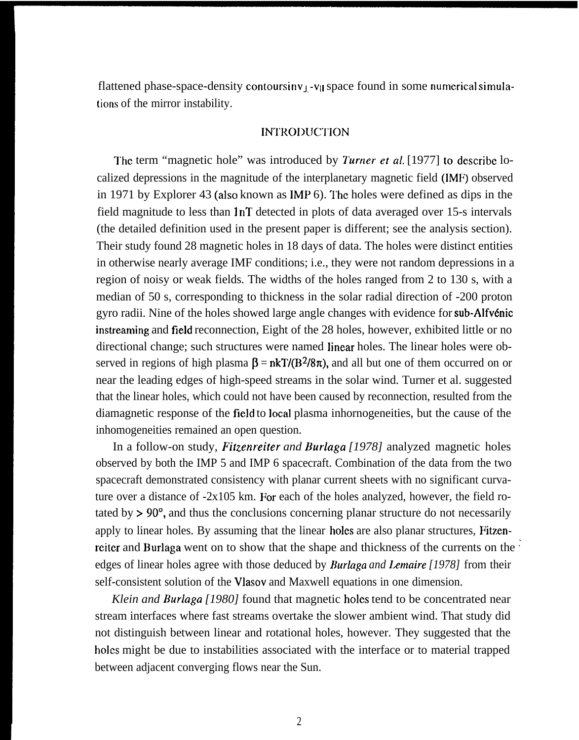flattened phase-space-density contoursinv<sub>J</sub>-v<sub>ll</sub> space found in some numerical simulations of the mirror instability.

### INTROI)UC"l'ION

The term "magnetic hole" was introduced by *Turner et al.* [1977] to describe localized depressions in the magnitude of the interplanetary magnetic field (IMF) observed in 1971 by Explorer 43 (also known as  $IMP_0$ ). The holes were defined as dips in the field magnitude to less than  $\ln T$  detected in plots of data averaged over 15-s intervals (the detailed definition used in the present paper is different; see the analysis section). Their study found 28 magnetic holes in 18 days of data. The holes were distinct entities in otherwise nearly average IMF conditions; i.e., they were not random depressions in a region of noisy or weak fields. The widths of the holes ranged from 2 to 130 s, with a median of 50 s, corresponding to thickness in the solar radial direction of -200 proton gyro radii. Nine of the holes showed large angle changes with evidence for sub-Alfvénic instreaming and field reconnection, Eight of the 28 holes, however, exhibited little or no directional change; such structures were named linear holes. The linear holes were observed in regions of high plasma  $\beta = nkT/(B^2/8\pi)$ , and all but one of them occurred on or near the leading edges of high-speed streams in the solar wind. Turner et al. suggested that the linear holes, which could not have been caused by reconnection, resulted from the diamagnetic response of the field to local plasma inhornogeneities, but the cause of the inhomogeneities remained an open question.

In a follow-on study, *Fitzenreiter and Burlaga* [1978] analyzed magnetic holes observed by both the IMP 5 and IMP 6 spacecraft. Combination of the data from the two spacecraft demonstrated consistency with planar current sheets with no significant curvature over a distance of -2x105 km. For each of the holes analyzed, however, the field rotated by >90°, and thus the conclusions concerning planar structure do not necessarily apply to linear holes. By assuming that the linear holes are also planar structures, Fitzenreiter and Burlaga went on to show that the shape and thickness of the currents on the : edges of linear holes agree with those deduced by **Burlaga** *and Lemaire [1978]* from their self-consistent solution of the Vlasov and Maxwell equations in one dimension.

*Klein and Burlaga [1980]* found that magnetic holes tend to be concentrated near stream interfaces where fast streams overtake the slower ambient wind. That study did not distinguish between linear and rotational holes, however. They suggested that the holes might be due to instabilities associated with the interface or to material trapped between adjacent converging flows near the Sun.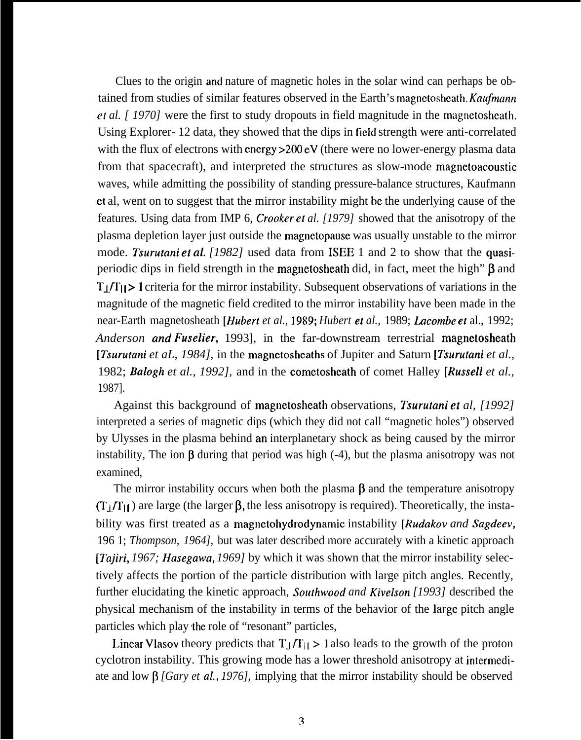Clues to the origin and nature of magnetic holes in the solar wind can perhaps be obtained from studies of similar features observed in the Earth's magnetosheath, *Kaufmann et al. [ 1970]* were the first to study dropouts in field magnitude in the magnetoshcath. Using Explorer- 12 data, they showed that the dips in field strength were anti-correlated with the flux of electrons with energy  $>200 \text{ eV}$  (there were no lower-energy plasma data from that spacecraft), and interpreted the structures as slow-mode magnetoacoustic waves, while admitting the possibility of standing pressure-balance structures, Kaufmann et al, went on to suggest that the mirror instability might bc the underlying cause of the features. Using data from IMP 6, *Crooker et al. [1979]* showed that the anisotropy of the plasma depletion layer just outside the magnetopausc was usually unstable to the mirror mode. *Tsurufani et aL [1982]* used data from lSEE 1 and 2 to show that the quasiperiodic dips in field strength in the magnetosheath did, in fact, meet the high"  $\beta$  and  $T_{\perp}/T_{\parallel}$  I criteria for the mirror instability. Subsequent observations of variations in the magnitude of the magnetic field credited to the mirror instability have been made in the near-Earth magnetosheath *[Hubert et al., 1989; Hubert et al., 1989; Lacombe et al., 1992; Anderson and Fuse/ier,* 1993], in the far-downstream terrestrial magnetosheath *[I%urufani et aL, 1984],* in the rnagnetosheaths of Jupiter and Saturn *[7surutani et al.,* 1982; *Bulogh et al., 1992],* and in the cometosheath of comet Halley *[Russell et al.,* 1987].

Against this background of magnetosheath observations, *Tsurutani et al, [1992]* interpreted a series of magnetic dips (which they did not call "magnetic holes") observed by Ulysses in the plasma behind an interplanetary shock as being caused by the mirror instability, The ion  $\beta$  during that period was high (-4), but the plasma anisotropy was not examined,

The mirror instability occurs when both the plasma  $\beta$  and the temperature anisotropy  $(T_1/T_{11})$  are large (the larger  $\beta$ , the less anisotropy is required). Theoretically, the instability was first treated as a magnetohydrodynamic instability *[Rudakov and Sagdeev,* 196 1; *Thompson, 1964],* but was later described more accurately with a kinetic approach *[Tajiri, 1967; Hasegawa, 1969]* by which it was shown that the mirror instability selectively affects the portion of the particle distribution with large pitch angles. Recently, further elucidating the kinetic approach, *Southwood and Kivelson [1993]* described the physical mechanism of the instability in terms of the behavior of the large pitch angle particles which play the role of "resonant" particles,

Linear Vlasov theory predicts that  $T_{\perp}/T_{\perp} > 1$  also leads to the growth of the proton cyclotron instability. This growing mode has a lower threshold anisotropy at intermediate and low β *[Gary et al., 1976]*, implying that the mirror instability should be observed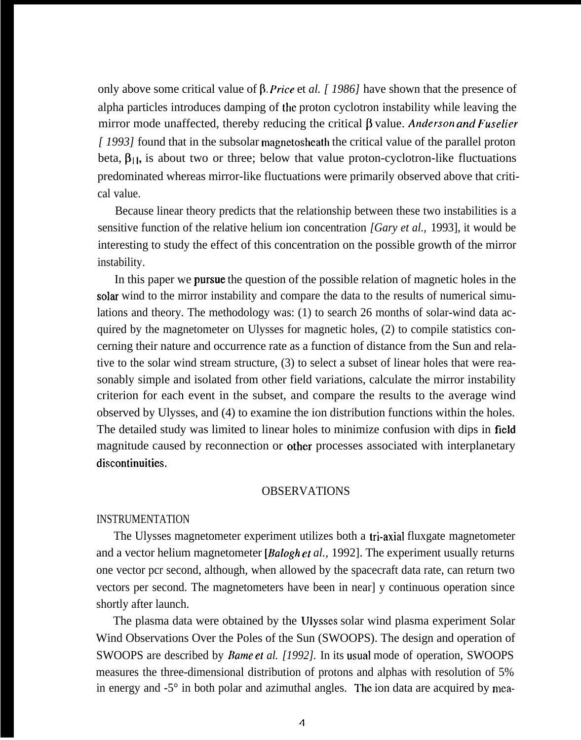only above some critical value of  $\beta$ . Price et *al.* [1986] have shown that the presence of alpha particles introduces damping of the proton cyclotron instability while leaving the mirror mode unaffected, thereby reducing the critical β value. *Anderson and Fuselier [ 1993]* found that in the subsolar magnetosheath the critical value of the parallel proton beta,  $\beta_{11}$ , is about two or three; below that value proton-cyclotron-like fluctuations predominated whereas mirror-like fluctuations were primarily observed above that critical value.

Because linear theory predicts that the relationship between these two instabilities is a sensitive function of the relative helium ion concentration *[Gary et al.,* 1993], it would be interesting to study the effect of this concentration on the possible growth of the mirror instability.

In this paper we pursue the question of the possible relation of magnetic holes in the solar wind to the mirror instability and compare the data to the results of numerical simulations and theory. The methodology was: (1) to search 26 months of solar-wind data acquired by the magnetometer on Ulysses for magnetic holes, (2) to compile statistics concerning their nature and occurrence rate as a function of distance from the Sun and relative to the solar wind stream structure, (3) to select a subset of linear holes that were reasonably simple and isolated from other field variations, calculate the mirror instability criterion for each event in the subset, and compare the results to the average wind observed by Ulysses, and (4) to examine the ion distribution functions within the holes. The detailed study was limited to linear holes to minimize confusion with dips in field magnitude caused by reconnection or other processes associated with interplanetary discontinuities.

### OBSERVATIONS

### INSTRUMENTATION

The Ulysses magnetometer experiment utilizes both a tri-axial fluxgate magnetometer and a vector helium magnetometer *[Babgh cf al.,* 1992]. The experiment usually returns one vector pcr second, although, when allowed by the spacecraft data rate, can return two vectors per second. The magnetometers have been in near] y continuous operation since shortly after launch.

The plasma data were obtained by the Ulysses solar wind plasma experiment Solar Wind Observations Over the Poles of the Sun (SWOOPS). The design and operation of SWOOPS are described by *Bame et al. [1992].* In its usual mode of operation, SWOOPS measures the three-dimensional distribution of protons and alphas with resolution of 5% in energy and  $-5^\circ$  in both polar and azimuthal angles. The ion data are acquired by mea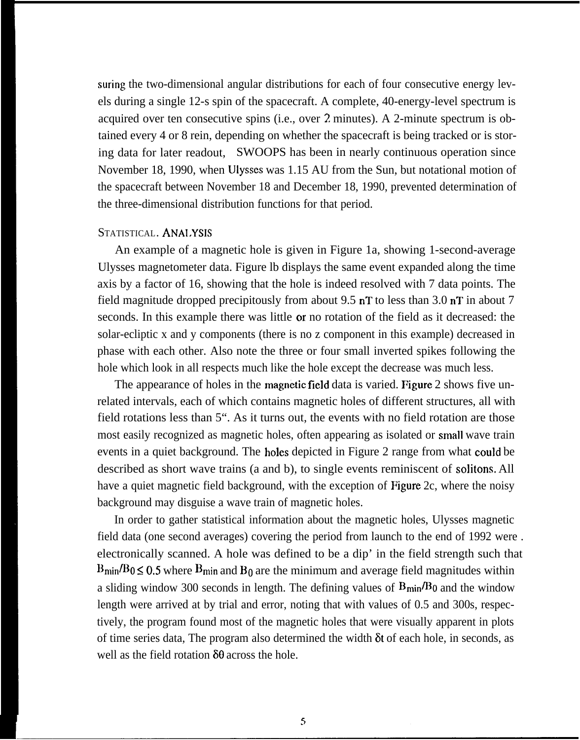suring the two-dimensional angular distributions for each of four consecutive energy levels during a single 12-s spin of the spacecraft. A complete, 40-energy-level spectrum is acquired over ten consecutive spins (i.e., over 2 minutes). A 2-minute spectrum is obtained every 4 or 8 rein, depending on whether the spacecraft is being tracked or is storing data for later readout, SWOOPS has been in nearly continuous operation since November 18, 1990, when Ulysses was 1.15 AU from the Sun, but notational motion of the spacecraft between November 18 and December 18, 1990, prevented determination of the three-dimensional distribution functions for that period.

# STATISTICAL. ANAI.YSIS

An example of a magnetic hole is given in Figure 1a, showing 1-second-average Ulysses magnetometer data. Figure lb displays the same event expanded along the time axis by a factor of 16, showing that the hole is indeed resolved with 7 data points. The field magnitude dropped precipitously from about 9.5 nT to less than 3.0 nT in about 7 seconds. In this example there was little or no rotation of the field as it decreased: the solar-ecliptic x and y components (there is no z component in this example) decreased in phase with each other. Also note the three or four small inverted spikes following the hole which look in all respects much like the hole except the decrease was much less.

The appearance of holes in the magnetic field data is varied. Figure 2 shows five unrelated intervals, each of which contains magnetic holes of different structures, all with field rotations less than 5". As it turns out, the events with no field rotation are those most easily recognized as magnetic holes, often appearing as isolated or small wave train events in a quiet background. The holes depicted in Figure 2 range from what could be described as short wave trains (a and b), to single events reminiscent of solitons. All have a quiet magnetic field background, with the exception of Figure 2c, where the noisy background may disguise a wave train of magnetic holes.

In order to gather statistical information about the magnetic holes, Ulysses magnetic field data (one second averages) covering the period from launch to the end of 1992 were . electronically scanned. A hole was defined to be a dip' in the field strength such that  $B_{\text{min}}/B_0 \leq 0.5$  where  $B_{\text{min}}$  and  $B_0$  are the minimum and average field magnitudes within a sliding window 300 seconds in length. The defining values of  $B_{\text{min}}/B_0$  and the window length were arrived at by trial and error, noting that with values of 0.5 and 300s, respectively, the program found most of the magnetic holes that were visually apparent in plots of time series data, The program also determined the width  $\delta t$  of each hole, in seconds, as well as the field rotation  $\delta\theta$  across the hole.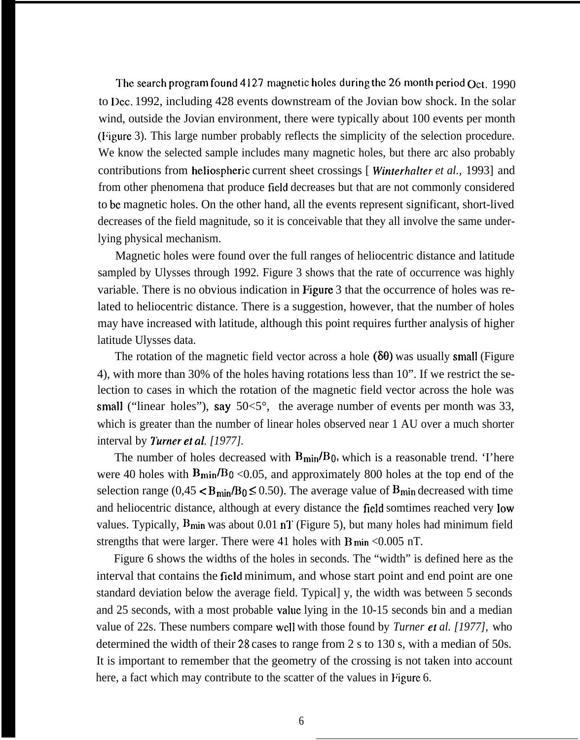The search program found 4127 magnetic holes during the 26 month period  $Qct. 1990$ to Dec. 1992, including 428 events downstream of the Jovian bow shock. In the solar wind, outside the Jovian environment, there were typically about 100 events per month (Figure 3). This large number probably reflects the simplicity of the selection procedure. We know the selected sample includes many magnetic holes, but there arc also probably contributions from heliospheric current sheet crossings [ *Winferhalfer et al.,* 1993] and from other phenomena that produce field decreases but that are not commonly considered to bc magnetic holes. On the other hand, all the events represent significant, short-lived decreases of the field magnitude, so it is conceivable that they all involve the same underlying physical mechanism.

Magnetic holes were found over the full ranges of heliocentric distance and latitude sampled by Ulysses through 1992. Figure 3 shows that the rate of occurrence was highly variable. There is no obvious indication in Figure 3 that the occurrence of holes was related to heliocentric distance. There is a suggestion, however, that the number of holes may have increased with latitude, although this point requires further analysis of higher latitude Ulysses data.

The rotation of the magnetic field vector across a hole  $(\delta\theta)$  was usually small (Figure 4), with more than 30% of the holes having rotations less than 10". If we restrict the selection to cases in which the rotation of the magnetic field vector across the hole was small ("linear holes"), say  $50<5^{\circ}$ , the average number of events per month was 33, which is greater than the number of linear holes observed near 1 AU over a much shorter interval by *7'urner et al, [1977].*

The number of holes decreased with  $B_{\text{min}}/B_0$ , which is a reasonable trend. 'I'here were 40 holes with  $B_{\text{min}}/B_0$  <0.05, and approximately 800 holes at the top end of the selection range (0,45  $\lt B_{\text{min}}/B_0 \le 0.50$ ). The average value of  $B_{\text{min}}$  decreased with time and heliocentric distance, although at every distance the field somtimes reached very low values. Typically,  $B_{\text{min}}$  was about 0.01 nT (Figure 5), but many holes had minimum field strengths that were larger. There were 41 holes with  $B_{\text{min}} < 0.005$  nT.

Figure 6 shows the widths of the holes in seconds. The "width" is defined here as the interval that contains the field minimum, and whose start point and end point are one standard deviation below the average field. Typical] y, the width was between 5 seconds and 25 seconds, with a most probable value lying in the 10-15 seconds bin and a median value of 22s. These numbers compare well with those found by *Turner et al. [1977],* who determined the width of their 28 cases to range from 2 s to 130 s, with a median of 50s. It is important to remember that the geometry of the crossing is not taken into account here, a fact which may contribute to the scatter of the values in Figure 6.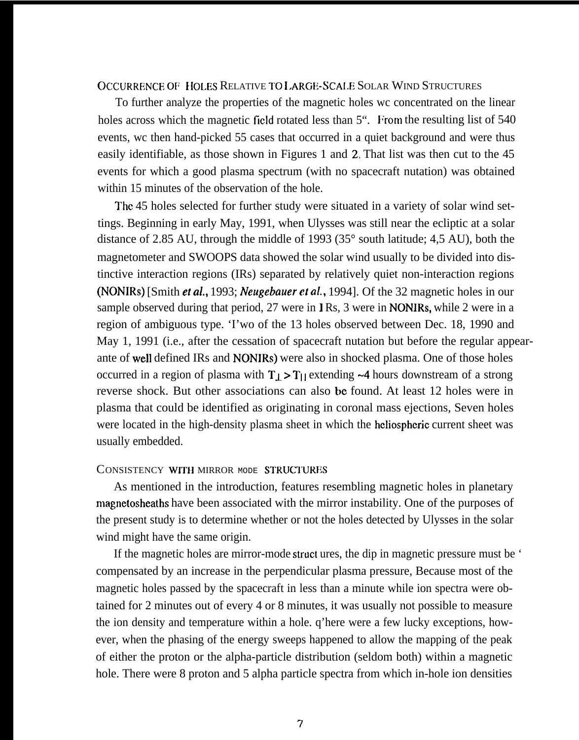# OCCURRENCE OF HOLES RELATIVE TO LARGE-SCALE SOLAR WIND STRUCTURES

To further analyze the properties of the magnetic holes wc concentrated on the linear holes across which the magnetic field rotated less than 5". From the resulting list of 540 events, wc then hand-picked 55 cases that occurred in a quiet background and were thus easily identifiable, as those shown in Figures 1 and 2. That list was then cut to the 45 events for which a good plasma spectrum (with no spacecraft nutation) was obtained within 15 minutes of the observation of the hole.

The 45 holes selected for further study were situated in a variety of solar wind settings. Beginning in early May, 1991, when Ulysses was still near the ecliptic at a solar distance of 2.85 AU, through the middle of 1993 (35° south latitude; 4,5 AU), both the magnetometer and SWOOPS data showed the solar wind usually to be divided into distinctive interaction regions (IRs) separated by relatively quiet non-interaction regions (NONIRS) [Smith et *al,,* 1993; *IVeugebauer cf UL,* 1994]. Of the 32 magnetic holes in our sample observed during that period, 27 were in IRs, 3 were in NONIRs, while 2 were in a region of ambiguous type. 'I'wo of the 13 holes observed between Dec. 18, 1990 and May 1, 1991 (i.e., after the cessation of spacecraft nutation but before the regular appearante of well defined IRs and NONIRS) were also in shocked plasma. One of those holes occurred in a region of plasma with  $T_J > T_l$  extending  $\sim$ 4 hours downstream of a strong reverse shock. But other associations can also be found. At least 12 holes were in plasma that could be identified as originating in coronal mass ejections, Seven holes were located in the high-density plasma sheet in which the hcliospheric current sheet was usually embedded.

#### CONSISTENCY WITH MIRROR MODE STRUCTURES

As mentioned in the introduction, features resembling magnetic holes in planetary magnetosheaths have been associated with the mirror instability. One of the purposes of the present study is to determine whether or not the holes detected by Ulysses in the solar wind might have the same origin.

If the magnetic holes are mirror-mode struct ures, the dip in magnetic pressure must be ' compensated by an increase in the perpendicular plasma pressure, Because most of the magnetic holes passed by the spacecraft in less than a minute while ion spectra were obtained for 2 minutes out of every 4 or 8 minutes, it was usually not possible to measure the ion density and temperature within a hole. q'here were a few lucky exceptions, however, when the phasing of the energy sweeps happened to allow the mapping of the peak of either the proton or the alpha-particle distribution (seldom both) within a magnetic hole. There were 8 proton and 5 alpha particle spectra from which in-hole ion densities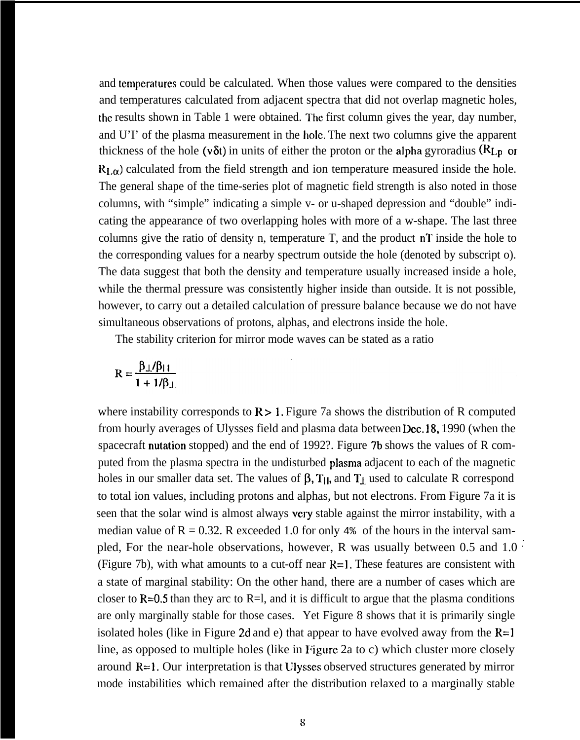and temperatures could be calculated. When those values were compared to the densities and temperatures calculated from adjacent spectra that did not overlap magnetic holes, the results shown in Table 1 were obtained. The first column gives the year, day number, and U'I' of the plasma measurement in the hole, The next two columns give the apparent thickness of the hole (v $\delta t$ ) in units of either the proton or the alpha gyroradius ( $R_{Lp}$  or  $R_{I,\alpha}$ ) calculated from the field strength and ion temperature measured inside the hole. The general shape of the time-series plot of magnetic field strength is also noted in those columns, with "simple" indicating a simple v- or u-shaped depression and "double" indicating the appearance of two overlapping holes with more of a w-shape. The last three columns give the ratio of density n, temperature T, and the product nT inside the hole to the corresponding values for a nearby spectrum outside the hole (denoted by subscript o). The data suggest that both the density and temperature usually increased inside a hole, while the thermal pressure was consistently higher inside than outside. It is not possible, however, to carry out a detailed calculation of pressure balance because we do not have simultaneous observations of protons, alphas, and electrons inside the hole.

The stability criterion for mirror mode waves can be stated as a ratio

$$
R = \frac{\beta_{\perp}/\beta_{\parallel\perp}}{1 + 1/\beta_{\perp}}
$$

where instability corresponds to  $R > 1$ . Figure 7a shows the distribution of R computed from hourly averages of Ulysses field and plasma data between Dec. 18, 1990 (when the spacecraft nutation stopped) and the end of 1992?. Figure 7b shows the values of R computed from the plasma spectra in the undisturbed plasma adjacent to each of the magnetic holes in our smaller data set. The values of  $\beta$ ,  $T_{\parallel}$ , and  $T_{\perp}$  used to calculate R correspond to total ion values, including protons and alphas, but not electrons. From Figure 7a it is seen that the solar wind is almost always very stable against the mirror instability, with a median value of  $R = 0.32$ . R exceeded 1.0 for only 4% of the hours in the interval sampled, For the near-hole observations, however, R was usually between 0.5 and 1.0 : (Figure 7b), with what amounts to a cut-off near  $R=1$ . These features are consistent with a state of marginal stability: On the other hand, there are a number of cases which are closer to  $R=0.5$  than they arc to  $R=1$ , and it is difficult to argue that the plasma conditions are only marginally stable for those cases. Yet Figure 8 shows that it is primarily single isolated holes (like in Figure 2d and e) that appear to have evolved away from the  $R=1$ line, as opposed to multiple holes (like in Figure 2a to c) which cluster more closely around R=1. Our interpretation is that Ulysses observed structures generated by mirror mode instabilities which remained after the distribution relaxed to a marginally stable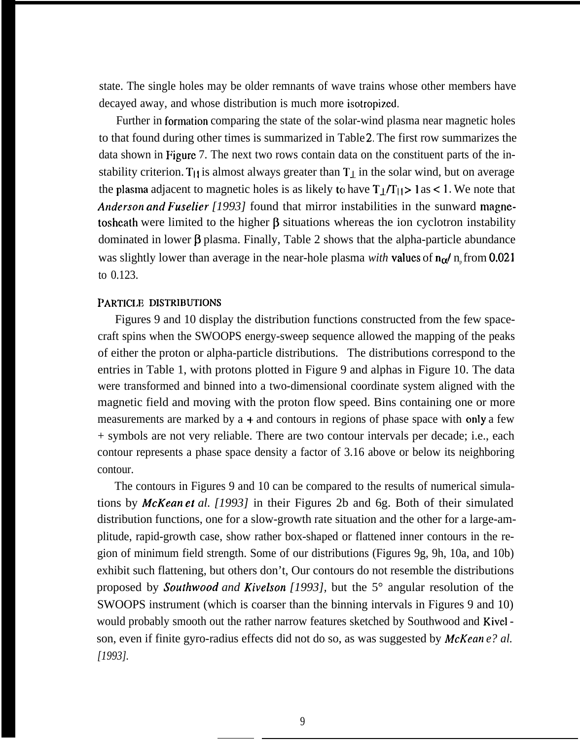state. The single holes may be older remnants of wave trains whose other members have decayed away, and whose distribution is much more isotropized.

Further in formation comparing the state of the solar-wind plasma near magnetic holes to that found during other times is summarized in Table 2. The first row summarizes the data shown in Figure 7. The next two rows contain data on the constituent parts of the instability criterion. T<sub>11</sub> is almost always greater than  $T_{\perp}$  in the solar wind, but on average the plasma adjacent to magnetic holes is as likely to have  $T_1/T_{11} > 1$  as < 1. We note that *Anderson and Fuselier [1993]* found that mirror instabilities in the sunward magnetosheath were limited to the higher  $\beta$  situations whereas the ion cyclotron instability dominated in lower  $\beta$  plasma. Finally, Table 2 shows that the alpha-particle abundance was slightly lower than average in the near-hole plasma *with* values of  $n_{\alpha}/n_{\rm p}$  from 0.021 to 0.123.

### PARTICLE DISTRIBUTIONS

Figures 9 and 10 display the distribution functions constructed from the few spacecraft spins when the SWOOPS energy-sweep sequence allowed the mapping of the peaks of either the proton or alpha-particle distributions. The distributions correspond to the entries in Table 1, with protons plotted in Figure 9 and alphas in Figure 10. The data were transformed and binned into a two-dimensional coordinate system aligned with the magnetic field and moving with the proton flow speed. Bins containing one or more measurements are marked by  $a +$  and contours in regions of phase space with only a few + symbols are not very reliable. There are two contour intervals per decade; i.e., each contour represents a phase space density a factor of 3.16 above or below its neighboring contour.

The contours in Figures 9 and 10 can be compared to the results of numerical simulations by *McKean et al. [1993]* in their Figures 2b and 6g. Both of their simulated distribution functions, one for a slow-growth rate situation and the other for a large-amplitude, rapid-growth case, show rather box-shaped or flattened inner contours in the region of minimum field strength. Some of our distributions (Figures 9g, 9h, 10a, and 10b) exhibit such flattening, but others don't, Our contours do not resemble the distributions proposed by *Soufhwood and Kivelson [1993],* but the 5° angular resolution of the SWOOPS instrument (which is coarser than the binning intervals in Figures 9 and 10) would probably smooth out the rather narrow features sketched by Southwood and Kivel son, even if finite gyro-radius effects did not do so, as was suggested by *McKean e? al. [1993].*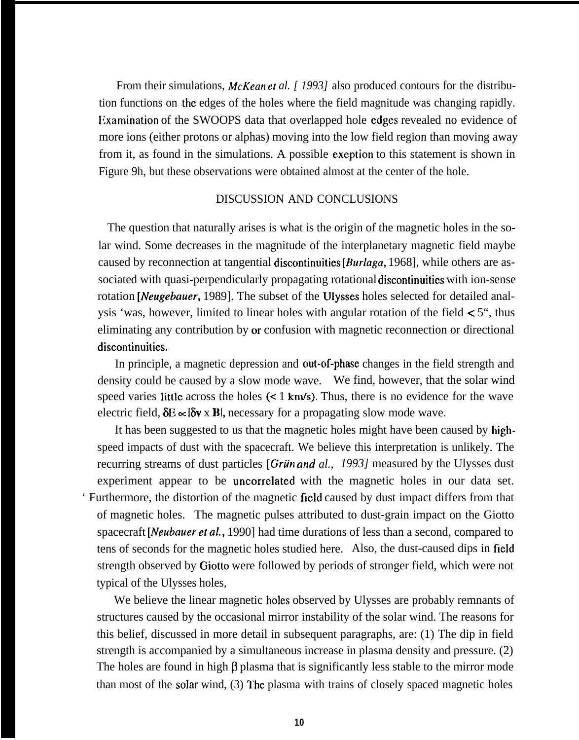From their simulations, *McKean et al.* [ 1993] also produced contours for the distribution functions on the edges of the holes where the field magnitude was changing rapidly. Examination of the SWOOPS data that overlapped hole edges revealed no evidence of more ions (either protons or alphas) moving into the low field region than moving away from it, as found in the simulations. A possible exeption to this statement is shown in Figure 9h, but these observations were obtained almost at the center of the hole.

## DISCUSSION AND CONCLUSIONS

The question that naturally arises is what is the origin of the magnetic holes in the solar wind. Some decreases in the magnitude of the interplanetary magnetic field maybe caused by reconnection at tangential discontinuities *[Burfaga,* 1968], while others are associated with quasi-perpendicularly propagating rotational discontinuities with ion-sense rotation *[Neugebauer*, 1989]. The subset of the Ulysses holes selected for detailed analysis 'was, however, limited to linear holes with angular rotation of the field  $\lt 5$ ", thus eliminating any contribution by or confusion with magnetic reconnection or directional discontinuities.

In principle, a magnetic depression and out-of-phase changes in the field strength and density could be caused by a slow mode wave. We find, however, that the solar wind speed varies little across the holes  $(< 1 \text{ km/s})$ . Thus, there is no evidence for the wave electric field,  $\delta E \propto \delta v \times B$ , necessary for a propagating slow mode wave.

It has been suggested to us that the magnetic holes might have been caused by highspeed impacts of dust with the spacecraft. We believe this interpretation is unlikely. The recurring streams of dust particles [Grün and al., 1993] measured by the Ulysses dust experiment appear to be uncorrelated with the magnetic holes in our data set. ' Furthermore, the distortion of the magnetic field caused by dust impact differs from that of magnetic holes. The magnetic pulses attributed to dust-grain impact on the Giotto spacecraft *[Neubauer et al.,* 1990] had time durations of less than a second, compared to tens of seconds for the magnetic holes studied here. Also, the dust-caused dips in field strength observed by Giotto were followed by periods of stronger field, which were not typical of the Ulysses holes,

We believe the linear magnetic holes observed by Ulysses are probably remnants of structures caused by the occasional mirror instability of the solar wind. The reasons for this belief, discussed in more detail in subsequent paragraphs, are: (1) The dip in field strength is accompanied by a simultaneous increase in plasma density and pressure. (2) The holes are found in high  $\beta$  plasma that is significantly less stable to the mirror mode than most of the solar wind, (3) I'hc plasma with trains of closely spaced magnetic holes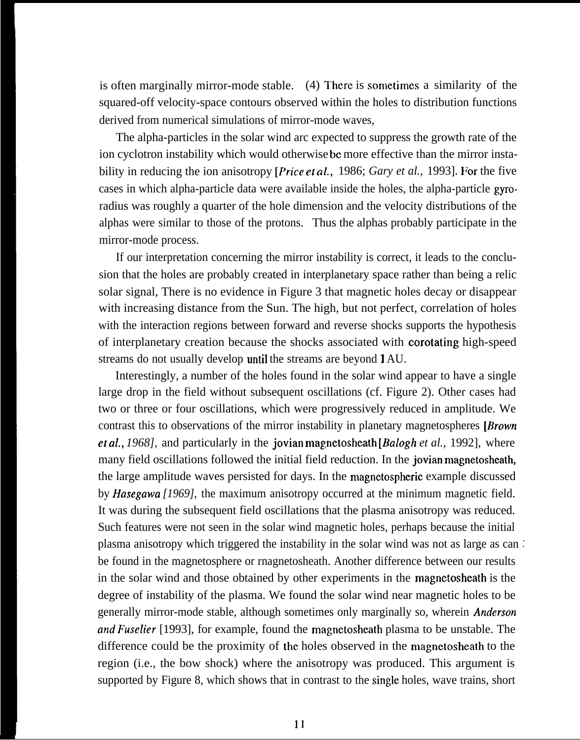is often marginally mirror-mode stable.  $(4)$  There is sometimes a similarity of the squared-off velocity-space contours observed within the holes to distribution functions derived from numerical simulations of mirror-mode waves,

The alpha-particles in the solar wind arc expected to suppress the growth rate of the ion cyclotron instability which would otherwise bc more effective than the mirror instability in reducing the ion anisotropy *[Price et af.,* 1986; *Gary et al.,* 1993]. For the five cases in which alpha-particle data were available inside the holes, the alpha-particle gyroradius was roughly a quarter of the hole dimension and the velocity distributions of the alphas were similar to those of the protons. Thus the alphas probably participate in the mirror-mode process.

If our interpretation concerning the mirror instability is correct, it leads to the conclusion that the holes are probably created in interplanetary space rather than being a relic solar signal, There is no evidence in Figure 3 that magnetic holes decay or disappear with increasing distance from the Sun. The high, but not perfect, correlation of holes with the interaction regions between forward and reverse shocks supports the hypothesis of interplanetary creation because the shocks associated with corotating high-speed streams do not usually develop until the streams are beyond 1 AU.

Interestingly, a number of the holes found in the solar wind appear to have a single large drop in the field without subsequent oscillations (cf. Figure 2). Other cases had two or three or four oscillations, which were progressively reduced in amplitude. We contrast this to observations of the mirror instability in planetary magnetospheres [*Brown*] ef *al,, 1968],* and particularly in the jovian magnetosheath *[Balogh et al.,* 1992], where many field oscillations followed the initial field reduction. In the jovian magnetosheath, the large amplitude waves persisted for days. In the magnetospheric example discussed by *Hasegawa [1969],* the maximum anisotropy occurred at the minimum magnetic field. It was during the subsequent field oscillations that the plasma anisotropy was reduced. Such features were not seen in the solar wind magnetic holes, perhaps because the initial plasma anisotropy which triggered the instability in the solar wind was not as large as can : be found in the magnetosphere or rnagnetosheath. Another difference between our results in the solar wind and those obtained by other experiments in the magnetosheath is the degree of instability of the plasma. We found the solar wind near magnetic holes to be generally mirror-mode stable, although sometimes only marginally so, wherein *Anderson and Fuselier* [1993], for example, found the magnetosheath plasma to be unstable. The difference could be the proximity of the holes observed in the magnetosheath to the region (i.e., the bow shock) where the anisotropy was produced. This argument is supported by Figure 8, which shows that in contrast to the single holes, wave trains, short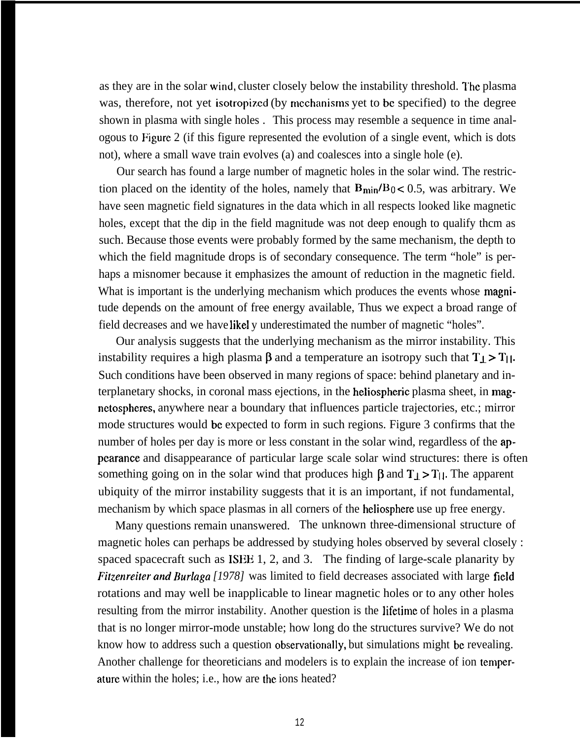as they are in the solar wind, cluster closely below the instability threshold. The plasma was, therefore, not yet isotropized (by mechanisms yet to be specified) to the degree shown in plasma with single holes . This process may resemble a sequence in time analogous to Figure 2 (if this figure represented the evolution of a single event, which is dots not), where a small wave train evolves (a) and coalesces into a single hole (e).

Our search has found a large number of magnetic holes in the solar wind. The restriction placed on the identity of the holes, namely that  $B_{\text{min}}/B_0 < 0.5$ , was arbitrary. We have seen magnetic field signatures in the data which in all respects looked like magnetic holes, except that the dip in the field magnitude was not deep enough to qualify thcm as such. Because those events were probably formed by the same mechanism, the depth to which the field magnitude drops is of secondary consequence. The term "hole" is perhaps a misnomer because it emphasizes the amount of reduction in the magnetic field. What is important is the underlying mechanism which produces the events whose magnitude depends on the amount of free energy available, Thus we expect a broad range of field decreases and we have likel y underestimated the number of magnetic "holes".

Our analysis suggests that the underlying mechanism as the mirror instability. This instability requires a high plasma  $\beta$  and a temperature an isotropy such that  $T_{\perp} > T_{\parallel}$ . Such conditions have been observed in many regions of space: behind planetary and interplanetary shocks, in coronal mass ejections, in the heliospheric plasma sheet, in magnetospheres, anywhere near a boundary that influences particle trajectories, etc.; mirror mode structures would be expected to form in such regions. Figure 3 confirms that the number of holes per day is more or less constant in the solar wind, regardless of the appearance and disappearance of particular large scale solar wind structures: there is often something going on in the solar wind that produces high  $\beta$  and  $T_1 > T_1$ . The apparent ubiquity of the mirror instability suggests that it is an important, if not fundamental, mechanism by which space plasmas in all corners of the heliosphere use up free energy.

Many questions remain unanswered. The unknown three-dimensional structure of magnetic holes can perhaps be addressed by studying holes observed by several closely : spaced spacecraft such as ISEE 1, 2, and 3. The finding of large-scale planarity by Fitzenreiter and *Burlaga* [1978] was limited to field decreases associated with large field rotations and may well be inapplicable to linear magnetic holes or to any other holes resulting from the mirror instability. Another question is the lifetime of holes in a plasma that is no longer mirror-mode unstable; how long do the structures survive? We do not know how to address such a question observationally, but simulations might bc revealing. Another challenge for theoreticians and modelers is to explain the increase of ion temperature within the holes; i.e., how are the ions heated?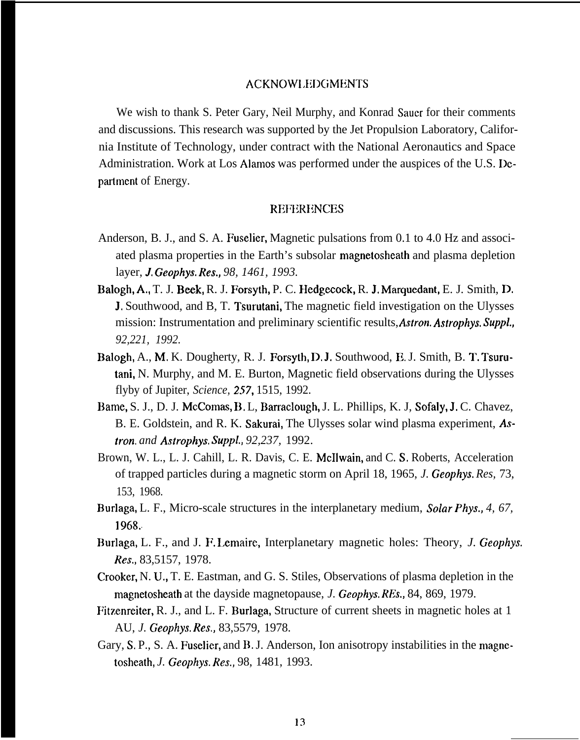#### ACKNOW1.EDGMENTS

We wish to thank S. Peter Gary, Neil Murphy, and Konrad Sauer for their comments and discussions. This research was supported by the Jet Propulsion Laboratory, California Institute of Technology, under contract with the National Aeronautics and Space Administration. Work at Los Alamos was performed under the auspices of the U.S. Department of Energy.

### **REFERENCES**

- Anderson, B. J., and S. A. Fuselier, Magnetic pulsations from 0.1 to 4.0 Hz and associated plasma properties in the Earth's subsolar magnetosheath and plasma depletion layer, *J. Geophys, Res., 98, 1461, 1993.*
- Balogh, A., T. J. Beek, R. J. Forsyth, P. C. Hedgecock, R. J. Marquedant, E. J. Smith, D. J, Southwood, and B, T. Tsurutani, The magnetic field investigation on the Ulysses mission: Instrumentation and preliminary scientific results, *AsIron. Astrophys. SuppL, 92,221, 1992.*
- Balogh, A., M. K. Dougherty, R. J. Forsyth, D. J, Southwood, E. J. Smith, B. T. Tsurutani, N. Murphy, and M. E. Burton, Magnetic field observations during the Ulysses flyby of Jupiter, *Science*, 257, 1515, 1992.
- Bame, S. J., D. J. McComas, B. L, Barraclough, J. L. Phillips, K. J, Sofaly, J. C. Chavez, B. E. Goldstein, and R. K. Sakurai, The Ulysses solar wind plasma experiment, *Astron. and Astrophys. Suppl., 92,237,* 1992.
- Brown, W. L., L. J. Cahill, L. R. Davis, C. E. McIlwain, and C. S. Roberts, Acceleration of trapped particles during a magnetic storm on April 18, 1965, *J. Geophys. Res,* 73, 153, 1968.
- Burlaga, L. F., Micro-scale structures in the interplanetary medium, *Solar Phys., 4, 67, 1968.*
- Burlaga, L. F., and J. F. Lemaire, Interplanetary magnetic holes: Theory, *J. Geophys. Res.,* 83,5157, 1978.
- Crooker, N. U,, T. E. Eastman, and G. S. Stiles, Observations of plasma depletion in the magnetosheath at the dayside magnetopause, *J. Geophys. REs.,* 84, 869, 1979.
- Fitzenreiter, R. J., and L. F. Burlaga, Structure of current sheets in magnetic holes at 1 AU, *J. Geophys. Res.,* 83,5579, 1978.
- Gary, S. P., S. A. Fuselier, and B. J. Anderson, Ion anisotropy instabilities in the magnetosheath, *J. Geophys. Res.,* 98, 1481, 1993.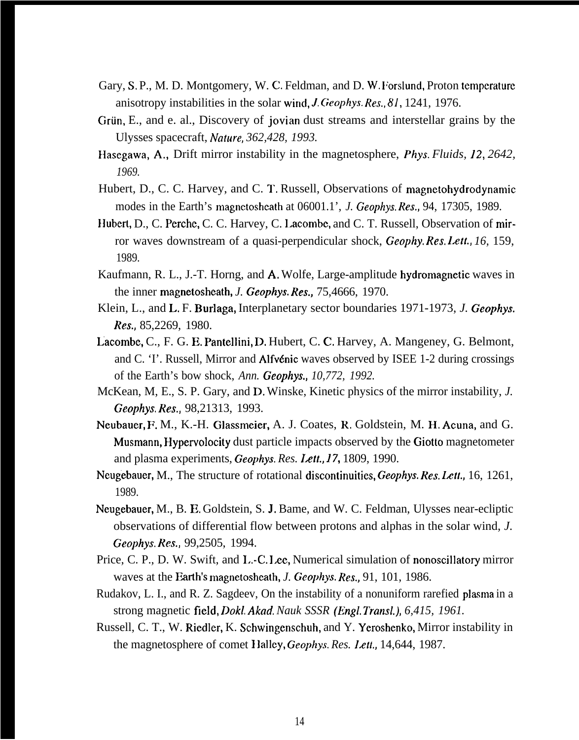- Gary, S. P., M. D. Montgomery, W. C. Feldman, and D. W. Forslund, Proton temperature anisotropy instabilities in the solar wind, *J. Geophys. Res.*, 81, 1241, 1976.
- Grün, E., and e. al., Discovery of jovian dust streams and interstellar grains by the Ulysses spacecraft, *Nature*, 362, 428, 1993.
- Hasegawa, A,, Drift mirror instability in the magnetosphere, *Phys. Fluids, 12, 2642, 1969.*
- Hubert, D., C. C. Harvey, and C. T. Russell, Observations of magnetohydrodynamic modes in the Earth's magnctosheath at 06001.1', *J. Geophys. Res.,* 94, 17305, 1989.
- Hubert, D., C. Perche, C. C. Harvey, C. Lacombe, and C. T. Russell, Observation of mirror waves downstream of a quasi-perpendicular shock, *Geophy. Res. Letf., 16,* 159, 1989.
- Kaufmann, R. L., J.-T. Horng, and A. Wolfe, Large-amplitude hydromagnetic waves in the inner magnetosheath, *J. Geophys. Res.,* 75,4666, 1970.
- Klein, L., and L. F. Burlaga, Interplanetary sector boundaries 1971-1973, *J. Geophys. Res.,* 85,2269, 1980.
- Lacombe, C., F. G. E. Pantellini, D. Hubert, C. C. Harvey, A. Mangeney, G. Belmont, and C. 'I'. Russell, Mirror and Alfvénic waves observed by ISEE 1-2 during crossings of the Earth's bow shock, *Ann. Geophys., 10,772, 1992.*
- McKean, M, E., S. P. Gary, and D. Winske, Kinetic physics of the mirror instability, *J. Geophys. Res.,* 98,21313, 1993.
- Neubauer, F. M., K.-H. Glassmeier, A. J. Coates, R. Goldstein, M. H, Acuna, and G. Musmann, Hypervolocity dust particle impacts observed by the Giotto magnetometer and plasma experiments, *Geophys. Res. Z4M, 17,* 1809, 1990.
- Neugebauer, M., The structure of rotational discontinuities, *Geophys. Res. Lett.*, 16, 1261, 1989.
- Neugebauer, M., B. E. Goldstein, S. J. Bame, and W. C. Feldman, Ulysses near-ecliptic observations of differential flow between protons and alphas in the solar wind, *J. Geophys. Res.,* 99,2505, 1994.
- Price, C. P., D. W. Swift, and L.-C. Lee, Numerical simulation of nonoscillatory mirror waves at the Farth's magnetoshcath, *J. Geophys. Res.,* 91, 101, 1986.
- Rudakov, L. I., and R. Z. Sagdeev, On the instability of a nonuniform rarefied plasma in a strong magnetic field, *Dokl, Akod. Nauk SSSR (Engl. Transl.), 6,415, 1961.*
- Russell, C. T., W. Riedler, K. Schwingenschuh, and Y. Yeroshenko, Mirror instability in the magnetosphere of comet 1 lalley, Geophys. *Res. Left.,* 14,644, 1987.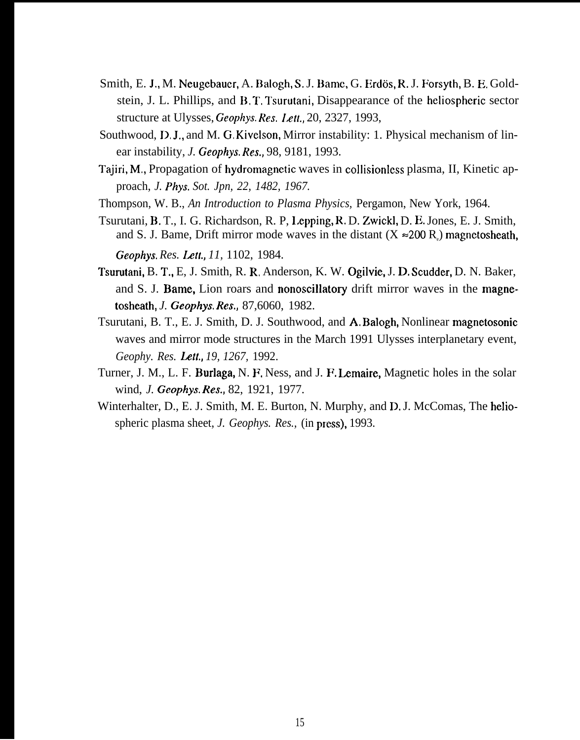- Smith, E. J., M. Neugebauer, A. Balogh, S. J. Bame, G. Erdös, R. J. Forsyth, B. E. Goldstein, J. L. Phillips, and B. T. Tsurutani, Disappearance of the heliospheric sector structure at Ulysses, Geophys. Res. Lett., 20, 2327, 1993,
- Southwood, D.J., and M. G.Kivelson, Mirror instability: 1. Physical mechanism of linear instability, *J. Geophys. Res.,* 98, 9181, 1993.
- Tajiri, M,, Propagation of hydromagnetic waves in collisionless plasma, II, Kinetic approach, *J. Phys. Sot. Jpn, 22, 1482, 1967.*
- Thompson, W. B., *An Introduction to Plasma Physics,* Pergamon, New York, 1964.
- Tsurutani, B. T., I. G. Richardson, R. P, Lepping, R. D. Zwickl, D. E. Jones, E. J. Smith, and S. J. Bame, Drift mirror mode waves in the distant  $(X \approx 200 R_e)$  magnetosheath, *Geophys. Res. Lett,, 11,* 1102, 1984.
- Tsurutani, B. T,, E, J. Smith, R. R, Anderson, K. W. Ogilvic, J. D, Scudder, D. N. Baker, and S. J. Bame, Lion roars and nonoscillatory drift mirror waves in the magnetosheath, *J. Geophys. Res,,* 87,6060, 1982.
- Tsurutani, B. T., E. J. Smith, D. J. Southwood, and A. Balogh, Nonlinear magnetosonic waves and mirror mode structures in the March 1991 Ulysses interplanetary event, *Geophy. Res. Left,, 19, 1267,* 1992.
- Turner, J. M., L. F. Burlaga, N. F, Ness, and J. F. Lemaire, Magnetic holes in the solar wind, *J. Geophys. Res.,* 82, 1921, 1977.
- Winterhalter, D., E. J. Smith, M. E. Burton, N. Murphy, and D. J. McComas, The heliospheric plasma sheet, *J. Geophys. Res.*, (in press), 1993.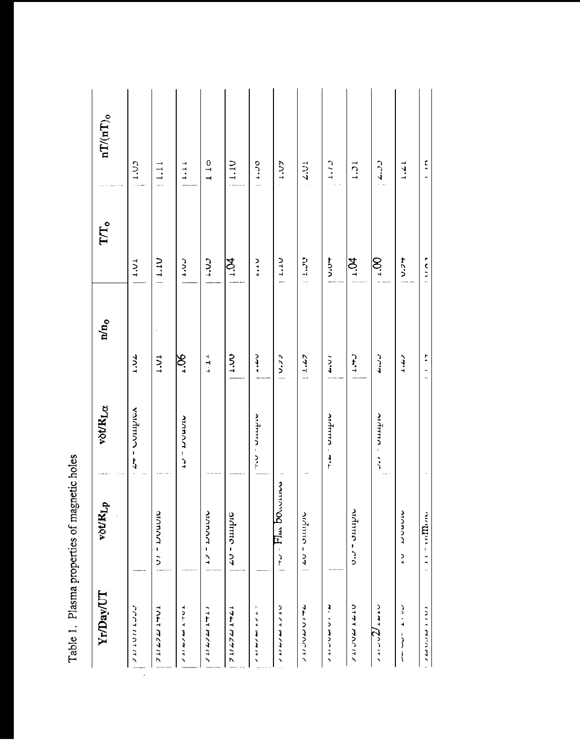Table 1. Plasma properties of magnetic holes

| Yr/Dav/UT                                                      | vot/KLp                                                                                                         | vot/KLa       | $n/n_0$            | $\Gamma\!T_0$    | $nT/(nT)$ <sub>0</sub>                                |
|----------------------------------------------------------------|-----------------------------------------------------------------------------------------------------------------|---------------|--------------------|------------------|-------------------------------------------------------|
| רררדווחז ודב                                                   |                                                                                                                 | Antinon - 47  | <b>77.17</b>       | 1.01             | $C\cap 1$                                             |
| <b>TALL 777777</b>                                             | <b>SIGRANT - 10</b>                                                                                             |               | <b>17.1</b>        | <b>NT11</b>      | 1.11                                                  |
| フェフルフ すいまこ へい                                                  |                                                                                                                 | オフ ニ ブンユフザ    | $90^{r}$           | $\frac{2}{3}$    | 1.11                                                  |
| フェークング ブレッ                                                     | <b>MANAHA - ZT</b>                                                                                              |               | $\frac{1}{4}$      | C                | $\begin{array}{c} 1 \quad 0 \\ 1 \quad 0 \end{array}$ |
| フェイレクス エキクエ                                                    | Antino - 07                                                                                                     |               | $rac{5}{2}$        | $\frac{1}{2}$    | 1.10                                                  |
| ŀ<br>الرائد المقادم وبوارد                                     |                                                                                                                 | Ardinina - ou | للقادة             | <b>Viti</b>      | 007.70                                                |
| フェフリング サイドン                                                    | $\frac{1}{1}$ $\frac{1}{1}$ $\frac{1}{1}$ $\frac{1}{1}$ $\frac{1}{1}$ $\frac{1}{1}$ $\frac{1}{1}$ $\frac{1}{1}$ |               | 25.77              | 11.10            | <b>CA'T</b>                                           |
| フォンフクス フールク                                                    | <b>Norman - A7</b>                                                                                              |               | 5.4.47             | $5 - 1$          | $-2.01$                                               |
| フェーブンきょう こう                                                    |                                                                                                                 | Ardmno - mu   | $\frac{1}{4}$      | ナウン              | C1.1                                                  |
| フェフンファイヤフ                                                      | Ardmro - c.o                                                                                                    |               | $-1.7$             | $\sum_{i=1}^{n}$ | 15.1                                                  |
| Justal Land                                                    |                                                                                                                 | Ardmin - 150  | ر زمان             | $\frac{1}{2}$    | $5 - 25$                                              |
| $\sim$<br>$\begin{array}{c} 1 \\ 1 \\ 1 \\ 1 \\ 1 \end{array}$ | <b>ATAMATION</b><br>$\frac{1}{4}$                                                                               |               | وعدد               | $+5.7 +$         | 1.2.1                                                 |
| ו הרוב המוני המוצר ו                                           | $\frac{1}{2}$                                                                                                   |               | ŗ<br>$\frac{1}{1}$ | r<br>C<br>C<br>C | $\frac{1}{2}$                                         |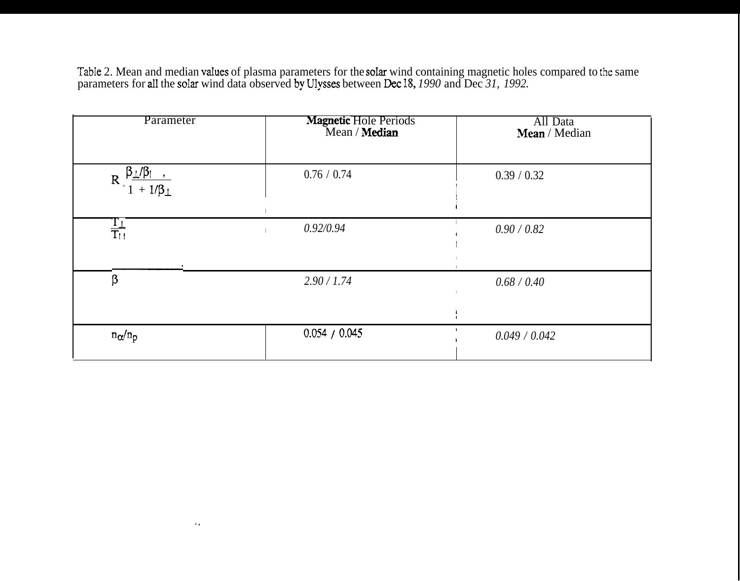Table 2. Mean and median values of plasma parameters for the solar wind containing magnetic holes compared to the same parameters for all the solar wind data observed by Ulysses between Dec 18, 1990 and Dec 31, 1992.

| Parameter                                                         | Magnetic Hole Periods<br>Mean / Median | All Data<br>Mean / Median |
|-------------------------------------------------------------------|----------------------------------------|---------------------------|
| $R = \frac{\beta_{\perp}/\beta_{\parallel}}{1 + 1/\beta_{\perp}}$ | 0.76 / 0.74                            | 0.39 / 0.32               |
| $rac{T_{\perp}}{T_{\parallel}}$                                   | 0.92/0.94                              | 0.90 / 0.82               |
| β                                                                 | 2.90 / 1.74                            | 0.68 / 0.40               |
| $n_{\alpha}/n_{\rm p}$                                            | 0.054 / 0.045                          | 0.049 / 0.042             |

 $\sim$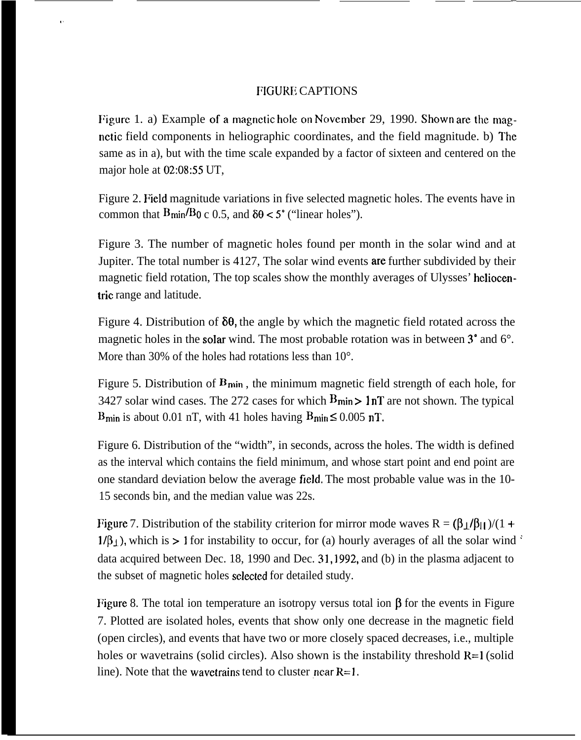# FIGURE CAPTIONS

,,

Figure 1. a) Example of a magnetic hole on November 29, 1990. Shown are the magnctic field components in heliographic coordinates, and the field magnitude. b) The same as in a), but with the time scale expanded by a factor of sixteen and centered on the major hole at 02:08:55 UT,

Figure 2. Field magnitude variations in five selected magnetic holes. The events have in common that  $B_{\text{min}}/B_0$  c 0.5, and  $\delta\theta < 5^\circ$  ("linear holes").

Figure 3. The number of magnetic holes found per month in the solar wind and at Jupiter. The total number is 4127, The solar wind events are further subdivided by their magnetic field rotation, The top scales show the monthly averages of Ulysses' heliocentric range and latitude.

Figure 4. Distribution of  $\delta\theta$ , the angle by which the magnetic field rotated across the magnetic holes in the solar wind. The most probable rotation was in between  $3^{\circ}$  and  $6^{\circ}$ . More than 30% of the holes had rotations less than 10<sup>o</sup>.

Figure 5. Distribution of  $B_{\text{min}}$ , the minimum magnetic field strength of each hole, for 3427 solar wind cases. The 272 cases for which  $B_{\text{min}} > 1 \text{nT}$  are not shown. The typical B<sub>min</sub> is about 0.01 nT, with 41 holes having  $B_{\text{min}} \le 0.005$  nT.

Figure 6. Distribution of the "width", in seconds, across the holes. The width is defined as the interval which contains the field minimum, and whose start point and end point are one standard deviation below the average field, The most probable value was in the 10- 15 seconds bin, and the median value was 22s.

Figure 7. Distribution of the stability criterion for mirror mode waves  $R = (\beta_{\perp}/\beta_{\parallel})/(1 +$  $1/\beta_1$ , which is > 1 for instability to occur, for (a) hourly averages of all the solar wind ' data acquired between Dec. 18, 1990 and Dec. 31, 1992, and (b) in the plasma adjacent to the subset of magnetic holes sclectcd for detailed study.

Figure 8. The total ion temperature an isotropy versus total ion  $\beta$  for the events in Figure 7. Plotted are isolated holes, events that show only one decrease in the magnetic field (open circles), and events that have two or more closely spaced decreases, i.e., multiple holes or wavetrains (solid circles). Also shown is the instability threshold  $R=1$  (solid line). Note that the wave trains tend to cluster near  $R=1$ .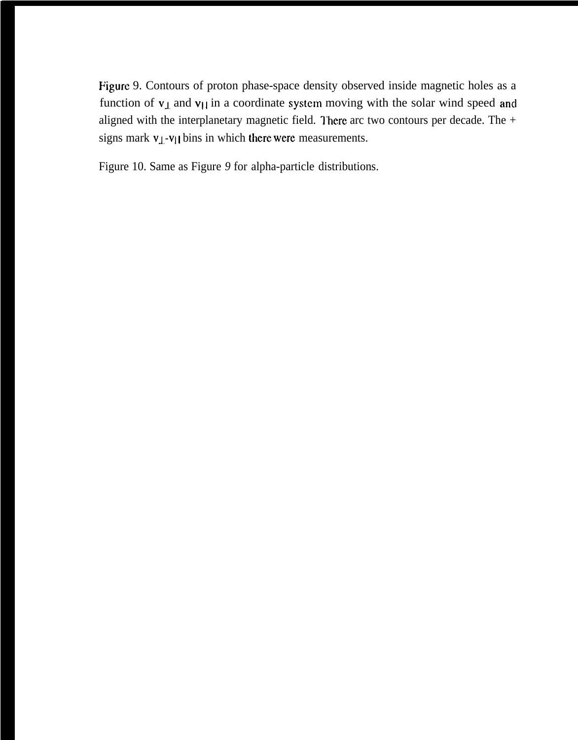Figure 9. Contours of proton phase-space density observed inside magnetic holes as a function of  $v_{\perp}$  and  $v_{\parallel}$  in a coordinate system moving with the solar wind speed and aligned with the interplanetary magnetic field. There arc two contours per decade. The  $+$ signs mark  $v_{\perp}$ - $v_{\parallel}$  bins in which there were measurements.

Figure 10. Same as Figure *9* for alpha-particle distributions.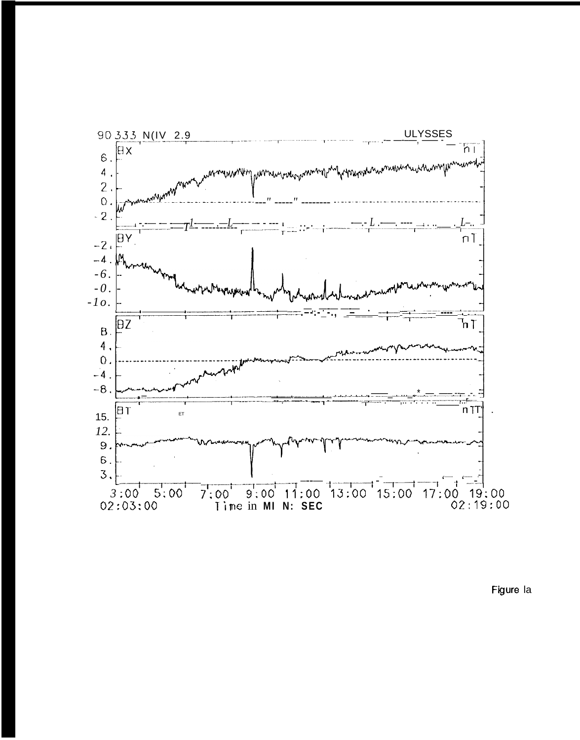

Figure la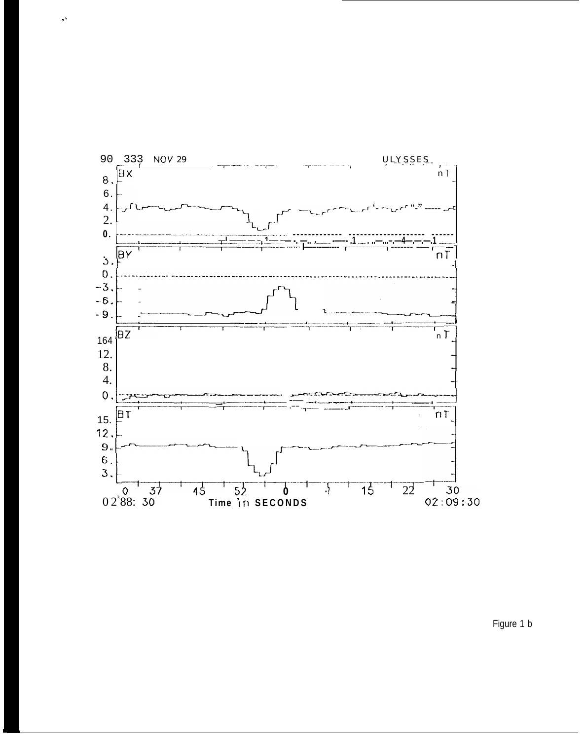

 $\ddot{\phantom{1}}$ 

Figure 1 b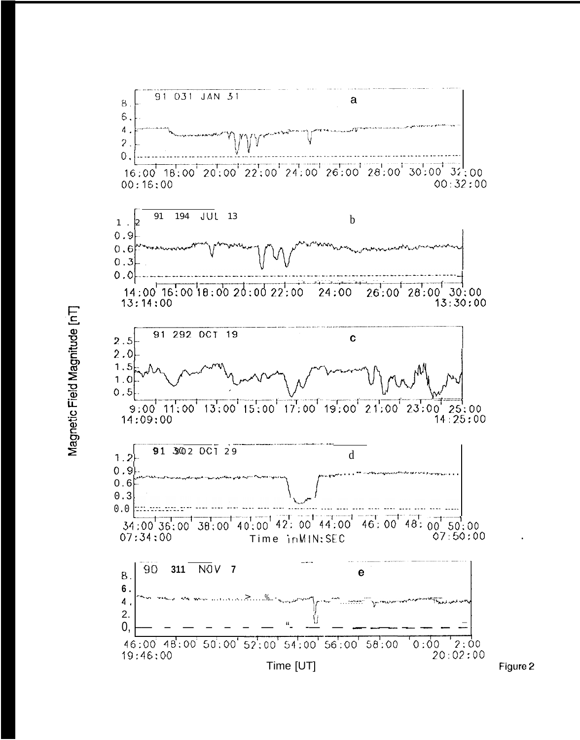

Magnetic Field Magnitude [nT]

Figure 2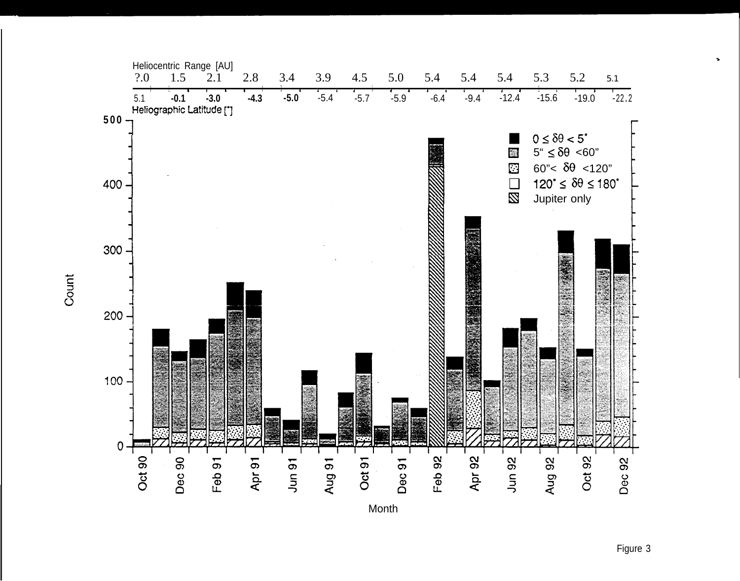

Count

Figure 3

 $\blacktriangleright$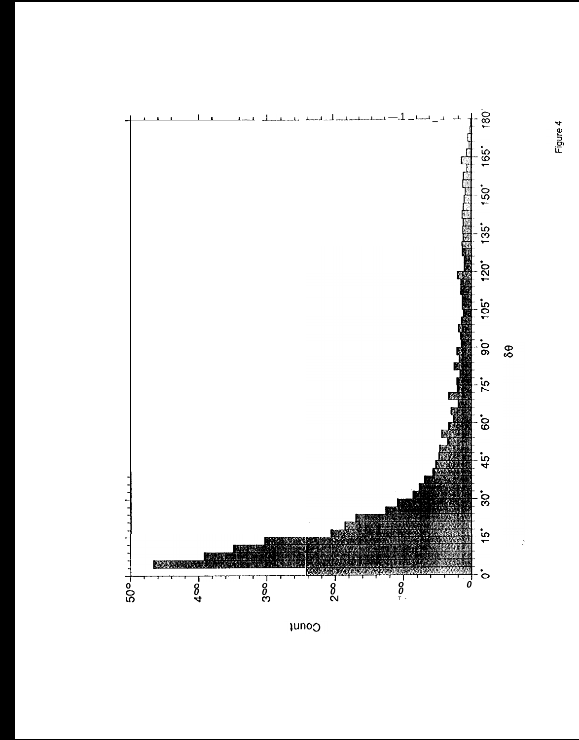

 $\mu$ noo

 $\frac{1}{2}$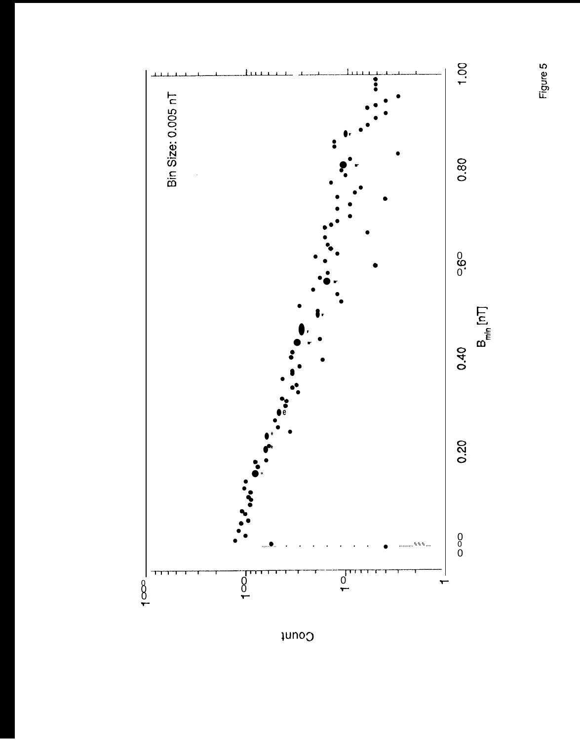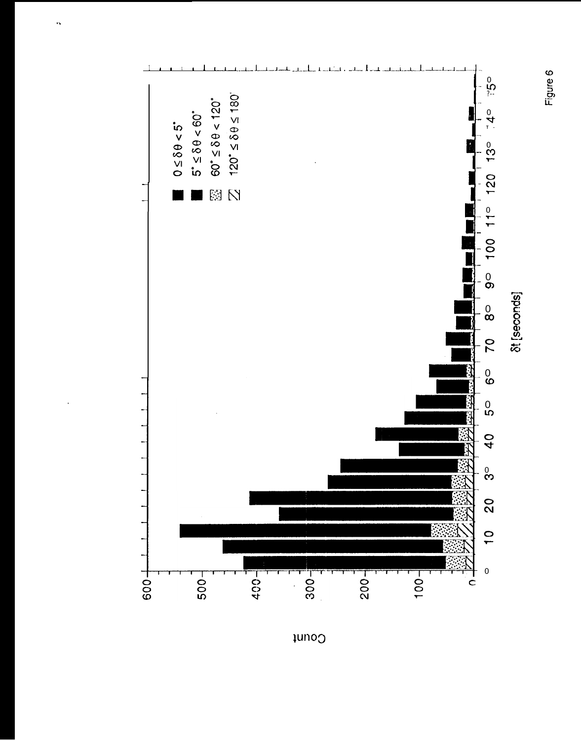



Count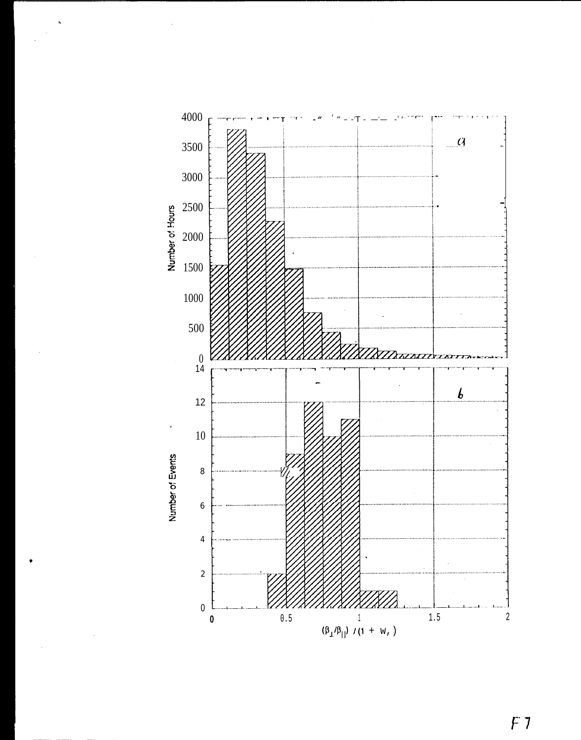

 $F<sub>7</sub>$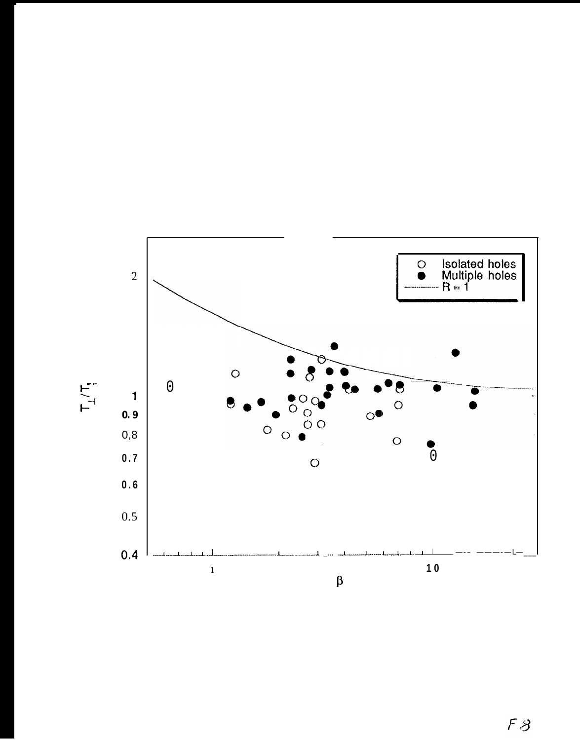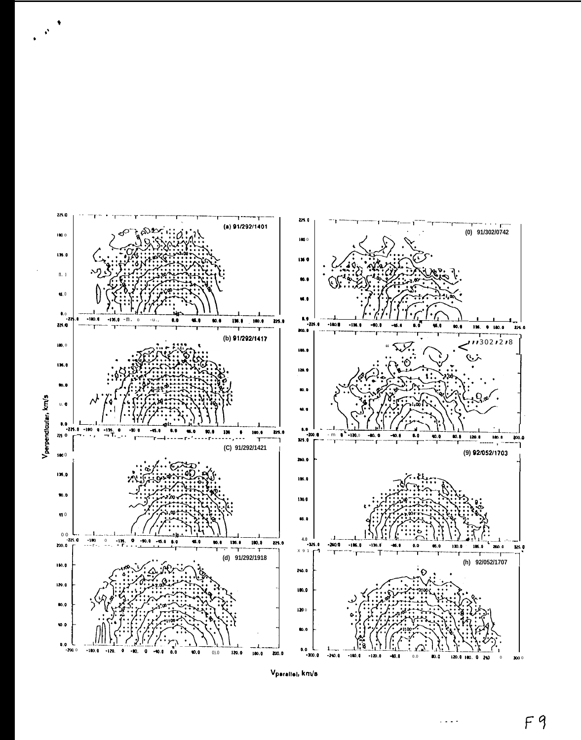

 $V_{\text{parallel}, km/s}$